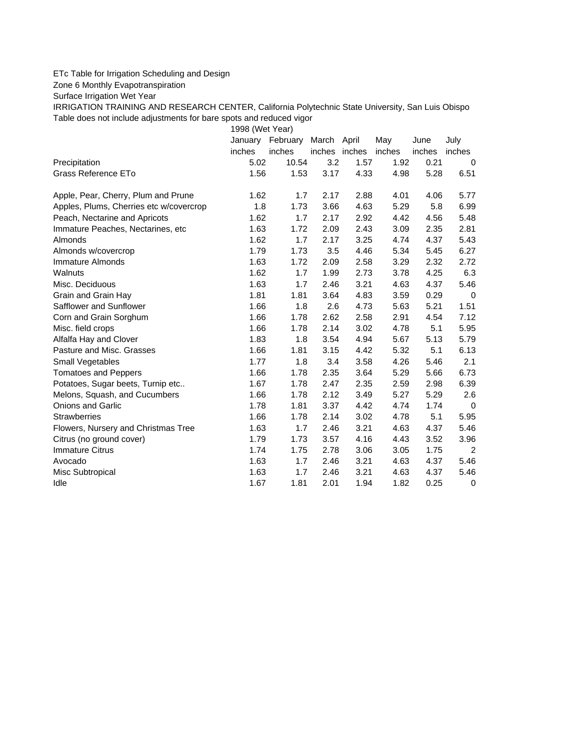## ETc Table for Irrigation Scheduling and Design

Zone 6 Monthly Evapotranspiration

Surface Irrigation Wet Year

IRRIGATION TRAINING AND RESEARCH CENTER, California Polytechnic State University, San Luis Obispo Table does not include adjustments for bare spots and reduced vigor

1998 (Wet Year)

|                                         | January | February | March         | April | May    | June   | July        |
|-----------------------------------------|---------|----------|---------------|-------|--------|--------|-------------|
|                                         | inches  | inches   | inches inches |       | inches | inches | inches      |
| Precipitation                           | 5.02    | 10.54    | 3.2           | 1.57  | 1.92   | 0.21   | 0           |
| Grass Reference ETo                     | 1.56    | 1.53     | 3.17          | 4.33  | 4.98   | 5.28   | 6.51        |
| Apple, Pear, Cherry, Plum and Prune     | 1.62    | 1.7      | 2.17          | 2.88  | 4.01   | 4.06   | 5.77        |
| Apples, Plums, Cherries etc w/covercrop | 1.8     | 1.73     | 3.66          | 4.63  | 5.29   | 5.8    | 6.99        |
| Peach, Nectarine and Apricots           | 1.62    | 1.7      | 2.17          | 2.92  | 4.42   | 4.56   | 5.48        |
| Immature Peaches, Nectarines, etc.      | 1.63    | 1.72     | 2.09          | 2.43  | 3.09   | 2.35   | 2.81        |
| Almonds                                 | 1.62    | 1.7      | 2.17          | 3.25  | 4.74   | 4.37   | 5.43        |
| Almonds w/covercrop                     | 1.79    | 1.73     | 3.5           | 4.46  | 5.34   | 5.45   | 6.27        |
| Immature Almonds                        | 1.63    | 1.72     | 2.09          | 2.58  | 3.29   | 2.32   | 2.72        |
| Walnuts                                 | 1.62    | 1.7      | 1.99          | 2.73  | 3.78   | 4.25   | 6.3         |
| Misc. Deciduous                         | 1.63    | 1.7      | 2.46          | 3.21  | 4.63   | 4.37   | 5.46        |
| Grain and Grain Hay                     | 1.81    | 1.81     | 3.64          | 4.83  | 3.59   | 0.29   | $\mathbf 0$ |
| Safflower and Sunflower                 | 1.66    | 1.8      | 2.6           | 4.73  | 5.63   | 5.21   | 1.51        |
| Corn and Grain Sorghum                  | 1.66    | 1.78     | 2.62          | 2.58  | 2.91   | 4.54   | 7.12        |
| Misc. field crops                       | 1.66    | 1.78     | 2.14          | 3.02  | 4.78   | 5.1    | 5.95        |
| Alfalfa Hay and Clover                  | 1.83    | 1.8      | 3.54          | 4.94  | 5.67   | 5.13   | 5.79        |
| Pasture and Misc. Grasses               | 1.66    | 1.81     | 3.15          | 4.42  | 5.32   | 5.1    | 6.13        |
| Small Vegetables                        | 1.77    | 1.8      | 3.4           | 3.58  | 4.26   | 5.46   | 2.1         |
| <b>Tomatoes and Peppers</b>             | 1.66    | 1.78     | 2.35          | 3.64  | 5.29   | 5.66   | 6.73        |
| Potatoes, Sugar beets, Turnip etc       | 1.67    | 1.78     | 2.47          | 2.35  | 2.59   | 2.98   | 6.39        |
| Melons, Squash, and Cucumbers           | 1.66    | 1.78     | 2.12          | 3.49  | 5.27   | 5.29   | 2.6         |
| <b>Onions and Garlic</b>                | 1.78    | 1.81     | 3.37          | 4.42  | 4.74   | 1.74   | $\Omega$    |
| <b>Strawberries</b>                     | 1.66    | 1.78     | 2.14          | 3.02  | 4.78   | 5.1    | 5.95        |
| Flowers, Nursery and Christmas Tree     | 1.63    | 1.7      | 2.46          | 3.21  | 4.63   | 4.37   | 5.46        |
| Citrus (no ground cover)                | 1.79    | 1.73     | 3.57          | 4.16  | 4.43   | 3.52   | 3.96        |
| <b>Immature Citrus</b>                  | 1.74    | 1.75     | 2.78          | 3.06  | 3.05   | 1.75   | 2           |
| Avocado                                 | 1.63    | 1.7      | 2.46          | 3.21  | 4.63   | 4.37   | 5.46        |
| Misc Subtropical                        | 1.63    | 1.7      | 2.46          | 3.21  | 4.63   | 4.37   | 5.46        |
| Idle                                    | 1.67    | 1.81     | 2.01          | 1.94  | 1.82   | 0.25   | 0           |